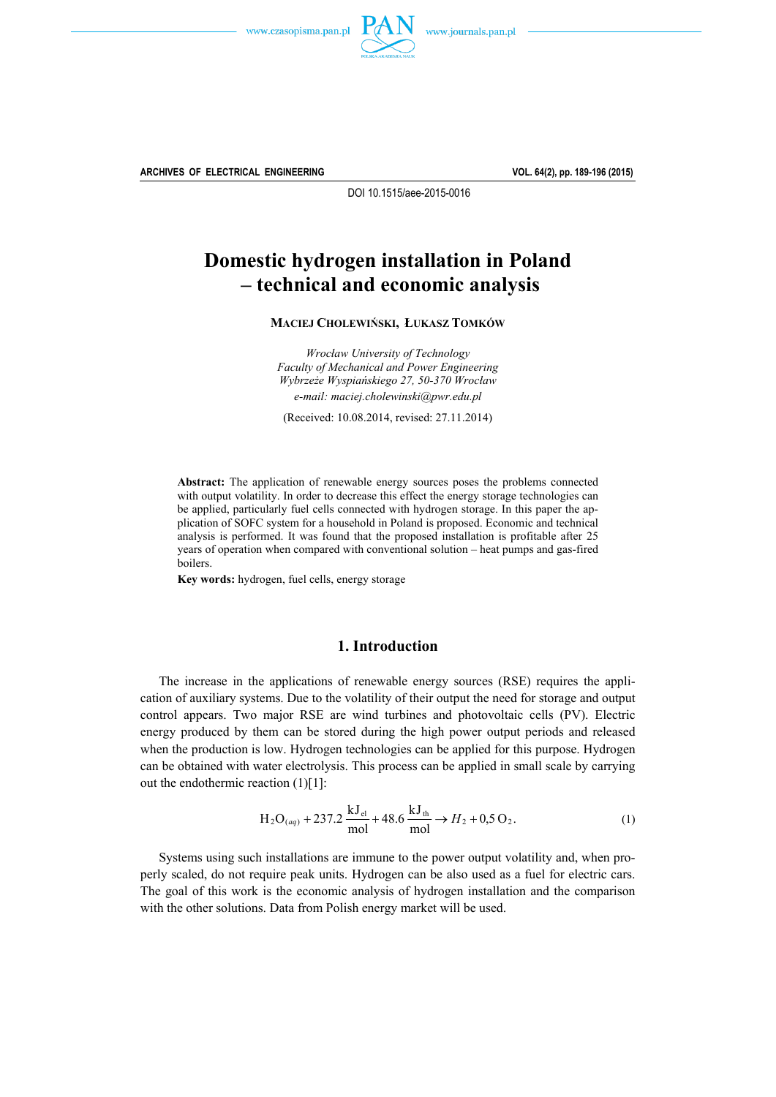



**ARCHIVES OF ELECTRICAL ENGINEERING VOL. 64(2), pp. 189-196 (2015)**

DOI 10.1515/aee-2015-0016

# **Domestic hydrogen installation in Poland – technical and economic analysis**

**MACIEJ CHOLEWIŃSKI, ŁUKASZ TOMKÓW**

*Wrocław University of Technology Faculty of Mechanical and Power Engineering Wybrzeże Wyspiańskiego 27, 50-370 Wrocław e-mail: maciej.cholewinski@pwr.edu.pl* 

(Received: 10.08.2014, revised: 27.11.2014)

**Abstract:** The application of renewable energy sources poses the problems connected with output volatility. In order to decrease this effect the energy storage technologies can be applied, particularly fuel cells connected with hydrogen storage. In this paper the application of SOFC system for a household in Poland is proposed. Economic and technical analysis is performed. It was found that the proposed installation is profitable after 25 years of operation when compared with conventional solution – heat pumps and gas-fired boilers.

**Key words:** hydrogen, fuel cells, energy storage

# **1. Introduction**

 The increase in the applications of renewable energy sources (RSE) requires the application of auxiliary systems. Due to the volatility of their output the need for storage and output control appears. Two major RSE are wind turbines and photovoltaic cells (PV). Electric energy produced by them can be stored during the high power output periods and released when the production is low. Hydrogen technologies can be applied for this purpose. Hydrogen can be obtained with water electrolysis. This process can be applied in small scale by carrying out the endothermic reaction (1)[1]:

$$
H_2O_{(aq)} + 237.2 \frac{kJ_{el}}{mol} + 48.6 \frac{kJ_{th}}{mol} \to H_2 + 0.5 O_2.
$$
 (1)

 Systems using such installations are immune to the power output volatility and, when properly scaled, do not require peak units. Hydrogen can be also used as a fuel for electric cars. The goal of this work is the economic analysis of hydrogen installation and the comparison with the other solutions. Data from Polish energy market will be used.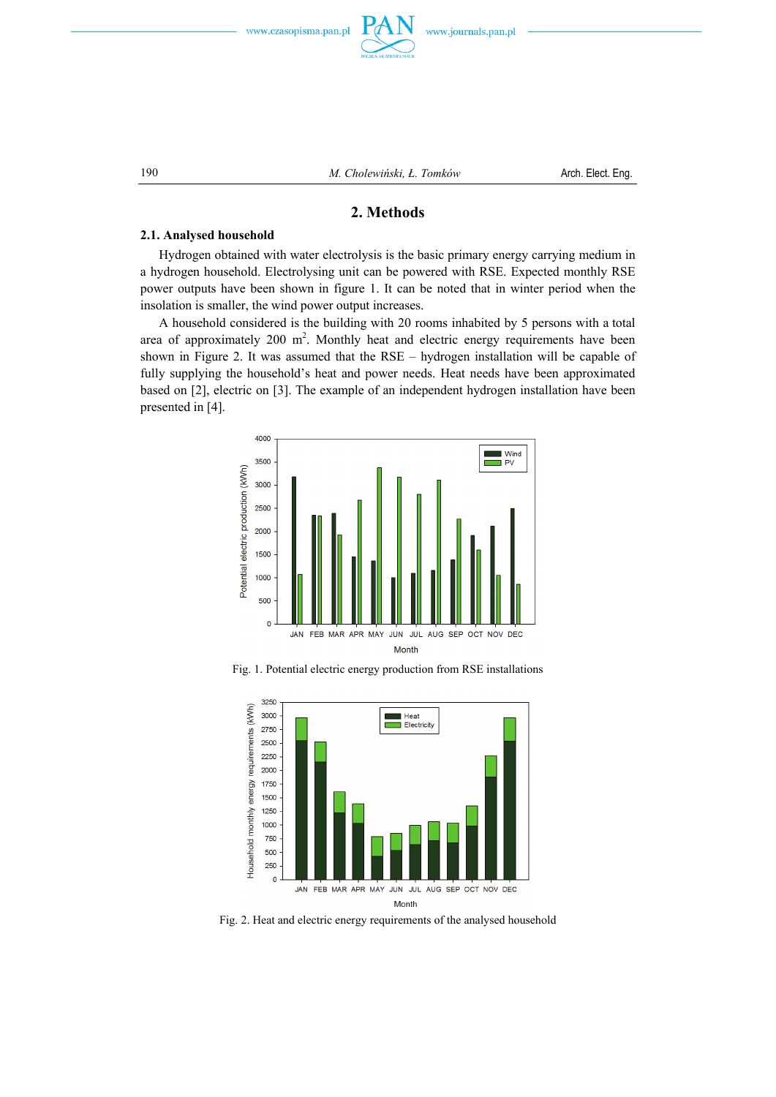

# **2. Methods**

# **2.1. Analysed household**

 Hydrogen obtained with water electrolysis is the basic primary energy carrying medium in a hydrogen household. Electrolysing unit can be powered with RSE. Expected monthly RSE power outputs have been shown in figure 1. It can be noted that in winter period when the insolation is smaller, the wind power output increases.

 A household considered is the building with 20 rooms inhabited by 5 persons with a total area of approximately  $200 \text{ m}^2$ . Monthly heat and electric energy requirements have been shown in Figure 2. It was assumed that the RSE – hydrogen installation will be capable of fully supplying the household's heat and power needs. Heat needs have been approximated based on [2], electric on [3]. The example of an independent hydrogen installation have been presented in [4].



Fig. 1. Potential electric energy production from RSE installations



Fig. 2. Heat and electric energy requirements of the analysed household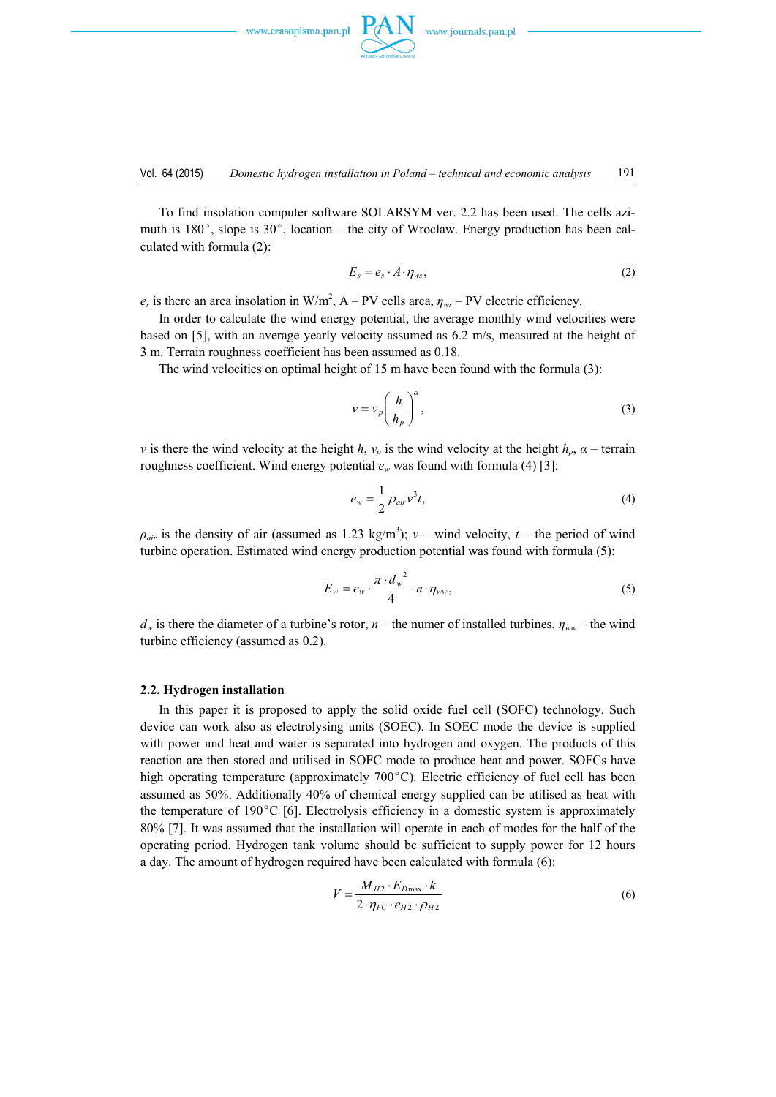

 To find insolation computer software SOLARSYM ver. 2.2 has been used. The cells azimuth is  $180^\circ$ , slope is  $30^\circ$ , location – the city of Wroclaw. Energy production has been calculated with formula (2):

$$
E_s = e_s \cdot A \cdot \eta_{ws},\tag{2}
$$

 $e_s$  is there an area insolation in W/m<sup>2</sup>, A – PV cells area,  $\eta_{ws}$  – PV electric efficiency.

 In order to calculate the wind energy potential, the average monthly wind velocities were based on [5], with an average yearly velocity assumed as 6.2 m/s, measured at the height of 3 m. Terrain roughness coefficient has been assumed as 0.18.

The wind velocities on optimal height of 15 m have been found with the formula (3):

$$
v = v_p \left(\frac{h}{h_p}\right)^{\alpha},\tag{3}
$$

*v* is there the wind velocity at the height *h*,  $v_p$  is the wind velocity at the height  $h_p$ ,  $\alpha$  – terrain roughness coefficient. Wind energy potential  $e_w$  was found with formula (4) [3]:

$$
e_w = \frac{1}{2} \rho_{air} v^3 t, \qquad (4)
$$

 $\rho_{air}$  is the density of air (assumed as 1.23 kg/m<sup>3</sup>); *v* – wind velocity, *t* – the period of wind turbine operation. Estimated wind energy production potential was found with formula (5):

$$
E_w = e_w \cdot \frac{\pi \cdot d_w^2}{4} \cdot n \cdot \eta_{ww}, \qquad (5)
$$

 $d_w$  is there the diameter of a turbine's rotor, *n* – the numer of installed turbines,  $\eta_{ww}$  – the wind turbine efficiency (assumed as 0.2).

### **2.2. Hydrogen installation**

 In this paper it is proposed to apply the solid oxide fuel cell (SOFC) technology. Such device can work also as electrolysing units (SOEC). In SOEC mode the device is supplied with power and heat and water is separated into hydrogen and oxygen. The products of this reaction are then stored and utilised in SOFC mode to produce heat and power. SOFCs have high operating temperature (approximately  $700^{\circ}$ C). Electric efficiency of fuel cell has been assumed as 50%. Additionally 40% of chemical energy supplied can be utilised as heat with the temperature of 190°C [6]. Electrolysis efficiency in a domestic system is approximately 80% [7]. It was assumed that the installation will operate in each of modes for the half of the operating period. Hydrogen tank volume should be sufficient to supply power for 12 hours a day. The amount of hydrogen required have been calculated with formula (6):

$$
V = \frac{M_{H2} \cdot E_{Dmax} \cdot k}{2 \cdot \eta_{FC} \cdot e_{H2} \cdot \rho_{H2}}
$$
(6)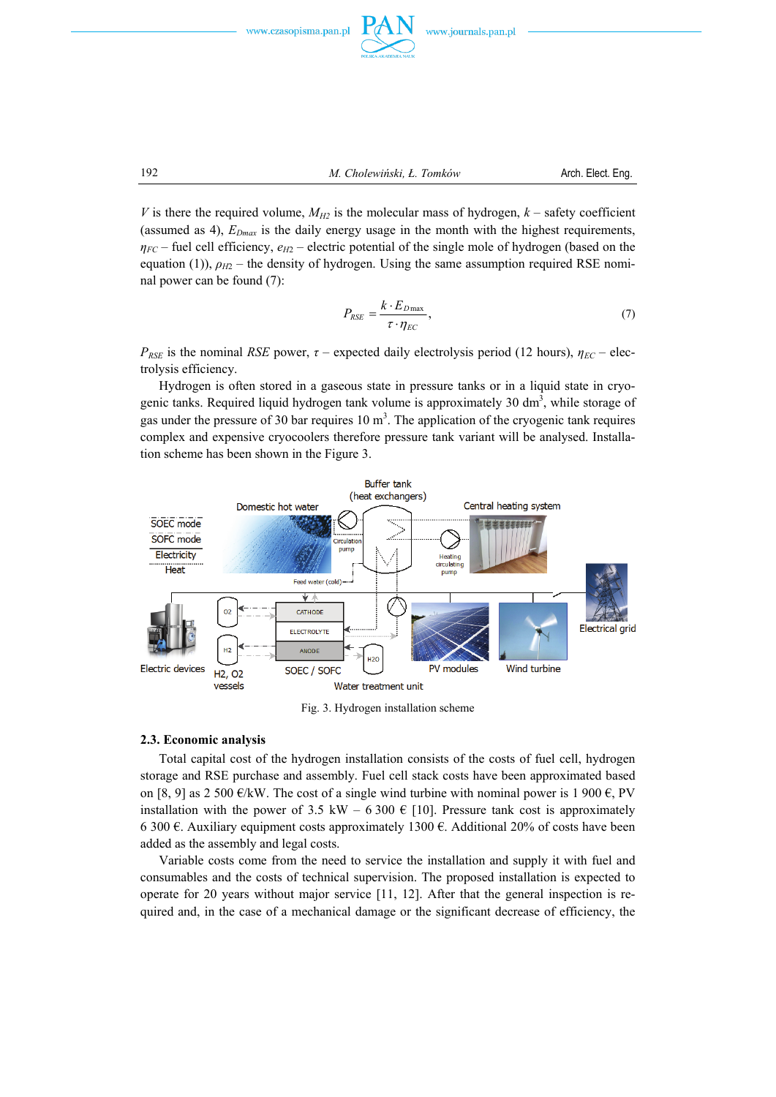



192 *M. Cholewiński, Ł. Tomków* Arch. Elect. Eng.

*V* is there the required volume,  $M_{H2}$  is the molecular mass of hydrogen,  $k$  – safety coefficient (assumed as 4),  $E_{Dmax}$  is the daily energy usage in the month with the highest requirements,  $\eta_{FC}$  – fuel cell efficiency,  $e_{H2}$  – electric potential of the single mole of hydrogen (based on the equation (1)),  $\rho_{H2}$  – the density of hydrogen. Using the same assumption required RSE nominal power can be found (7):

$$
P_{RSE} = \frac{k \cdot E_{D\max}}{\tau \cdot \eta_{EC}},\tag{7}
$$

*P<sub>RSE</sub>* is the nominal *RSE* power,  $\tau$  – expected daily electrolysis period (12 hours),  $\eta_{EC}$  – electrolysis efficiency.

 Hydrogen is often stored in a gaseous state in pressure tanks or in a liquid state in cryogenic tanks. Required liquid hydrogen tank volume is approximately 30 dm<sup>3</sup>, while storage of gas under the pressure of 30 bar requires  $10 \text{ m}^3$ . The application of the cryogenic tank requires complex and expensive cryocoolers therefore pressure tank variant will be analysed. Installation scheme has been shown in the Figure 3.



Fig. 3. Hydrogen installation scheme

### **2.3. Economic analysis**

 Total capital cost of the hydrogen installation consists of the costs of fuel cell, hydrogen storage and RSE purchase and assembly. Fuel cell stack costs have been approximated based on [8, 9] as 2 500  $\epsilon$ /kW. The cost of a single wind turbine with nominal power is 1 900  $\epsilon$ , PV installation with the power of 3.5 kW – 6 300  $\epsilon$  [10]. Pressure tank cost is approximately 6 300 €. Auxiliary equipment costs approximately 1300 €. Additional 20% of costs have been added as the assembly and legal costs.

 Variable costs come from the need to service the installation and supply it with fuel and consumables and the costs of technical supervision. The proposed installation is expected to operate for 20 years without major service [11, 12]. After that the general inspection is required and, in the case of a mechanical damage or the significant decrease of efficiency, the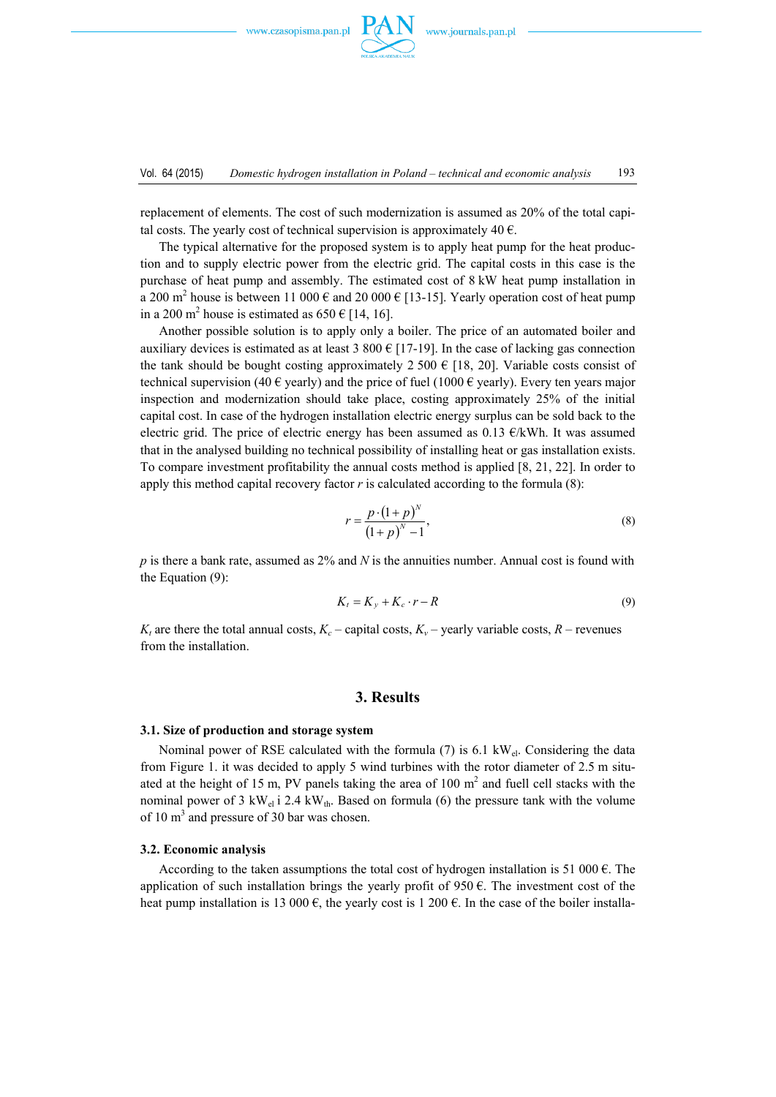

replacement of elements. The cost of such modernization is assumed as 20% of the total capital costs. The yearly cost of technical supervision is approximately 40  $\epsilon$ .

 The typical alternative for the proposed system is to apply heat pump for the heat production and to supply electric power from the electric grid. The capital costs in this case is the purchase of heat pump and assembly. The estimated cost of 8 kW heat pump installation in a 200 m<sup>2</sup> house is between 11 000  $\epsilon$  and 20 000  $\epsilon$  [13-15]. Yearly operation cost of heat pump in a 200 m<sup>2</sup> house is estimated as  $650 \text{ } \in$  [14, 16].

 Another possible solution is to apply only a boiler. The price of an automated boiler and auxiliary devices is estimated as at least 3 800  $\epsilon$  [17-19]. In the case of lacking gas connection the tank should be bought costing approximately 2 500  $\epsilon$  [18, 20]. Variable costs consist of technical supervision (40 € yearly) and the price of fuel (1000 € yearly). Every ten years major inspection and modernization should take place, costing approximately 25% of the initial capital cost. In case of the hydrogen installation electric energy surplus can be sold back to the electric grid. The price of electric energy has been assumed as  $0.13 \text{ } \epsilon/\text{kWh}$ . It was assumed that in the analysed building no technical possibility of installing heat or gas installation exists. To compare investment profitability the annual costs method is applied [8, 21, 22]. In order to apply this method capital recovery factor *r* is calculated according to the formula (8):

$$
r = \frac{p \cdot (1+p)^{N}}{(1+p)^{N}-1},\tag{8}
$$

*p* is there a bank rate, assumed as 2% and *N* is the annuities number. Annual cost is found with the Equation (9):

$$
K_t = K_y + K_c \cdot r - R \tag{9}
$$

 $K_t$  are there the total annual costs,  $K_c$  – capital costs,  $K_v$  – yearly variable costs,  $R$  – revenues from the installation.

## **3. Results**

#### **3.1. Size of production and storage system**

Nominal power of RSE calculated with the formula (7) is 6.1 kW<sub>el</sub>. Considering the data from Figure 1. it was decided to apply 5 wind turbines with the rotor diameter of 2.5 m situated at the height of 15 m, PV panels taking the area of 100  $m<sup>2</sup>$  and fuell cell stacks with the nominal power of 3 kW<sub>el</sub> i 2.4 kW<sub>th</sub>. Based on formula (6) the pressure tank with the volume of 10  $m<sup>3</sup>$  and pressure of 30 bar was chosen.

### **3.2. Economic analysis**

According to the taken assumptions the total cost of hydrogen installation is 51 000  $\epsilon$ . The application of such installation brings the yearly profit of 950  $\epsilon$ . The investment cost of the heat pump installation is 13 000  $\epsilon$ , the yearly cost is 1 200  $\epsilon$ . In the case of the boiler installa-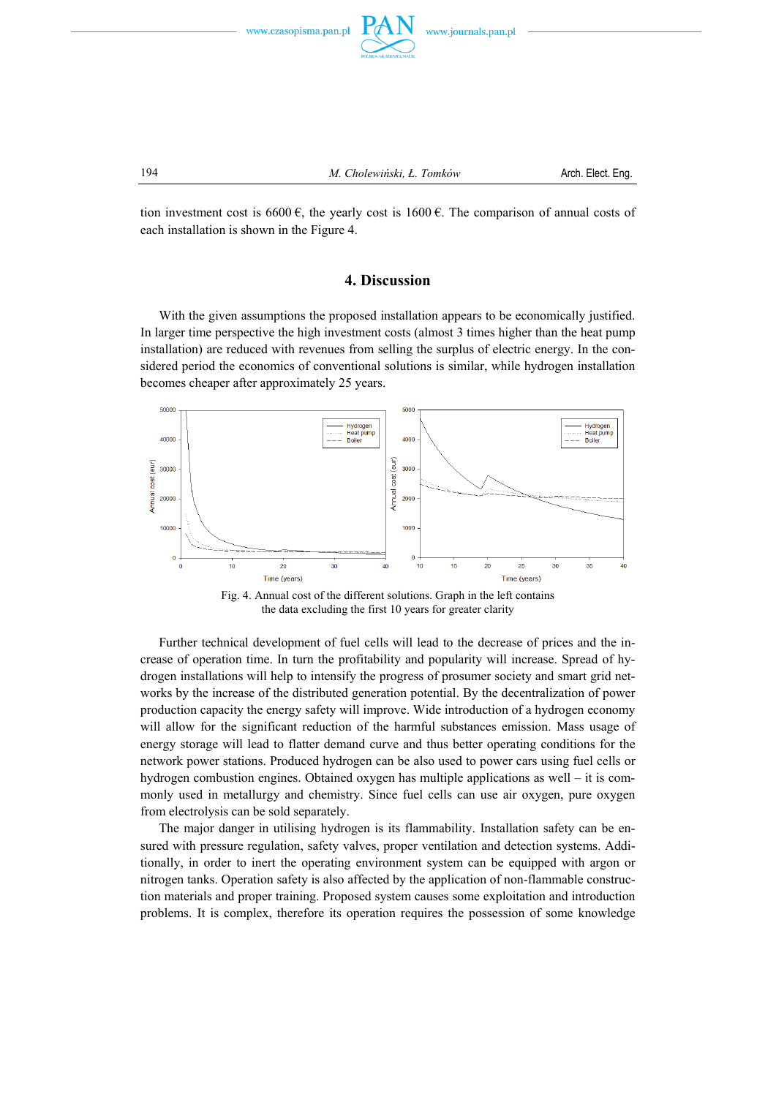



194 *M. Cholewiński, Ł. Tomków* Arch. Elect. Eng.

tion investment cost is 6600  $\epsilon$ , the yearly cost is 1600  $\epsilon$ . The comparison of annual costs of each installation is shown in the Figure 4.

# **4. Discussion**

 With the given assumptions the proposed installation appears to be economically justified. In larger time perspective the high investment costs (almost 3 times higher than the heat pump installation) are reduced with revenues from selling the surplus of electric energy. In the considered period the economics of conventional solutions is similar, while hydrogen installation becomes cheaper after approximately 25 years.



Fig. 4. Annual cost of the different solutions. Graph in the left contains the data excluding the first 10 years for greater clarity

 Further technical development of fuel cells will lead to the decrease of prices and the increase of operation time. In turn the profitability and popularity will increase. Spread of hydrogen installations will help to intensify the progress of prosumer society and smart grid networks by the increase of the distributed generation potential. By the decentralization of power production capacity the energy safety will improve. Wide introduction of a hydrogen economy will allow for the significant reduction of the harmful substances emission. Mass usage of energy storage will lead to flatter demand curve and thus better operating conditions for the network power stations. Produced hydrogen can be also used to power cars using fuel cells or hydrogen combustion engines. Obtained oxygen has multiple applications as well – it is commonly used in metallurgy and chemistry. Since fuel cells can use air oxygen, pure oxygen from electrolysis can be sold separately.

 The major danger in utilising hydrogen is its flammability. Installation safety can be ensured with pressure regulation, safety valves, proper ventilation and detection systems. Additionally, in order to inert the operating environment system can be equipped with argon or nitrogen tanks. Operation safety is also affected by the application of non-flammable construction materials and proper training. Proposed system causes some exploitation and introduction problems. It is complex, therefore its operation requires the possession of some knowledge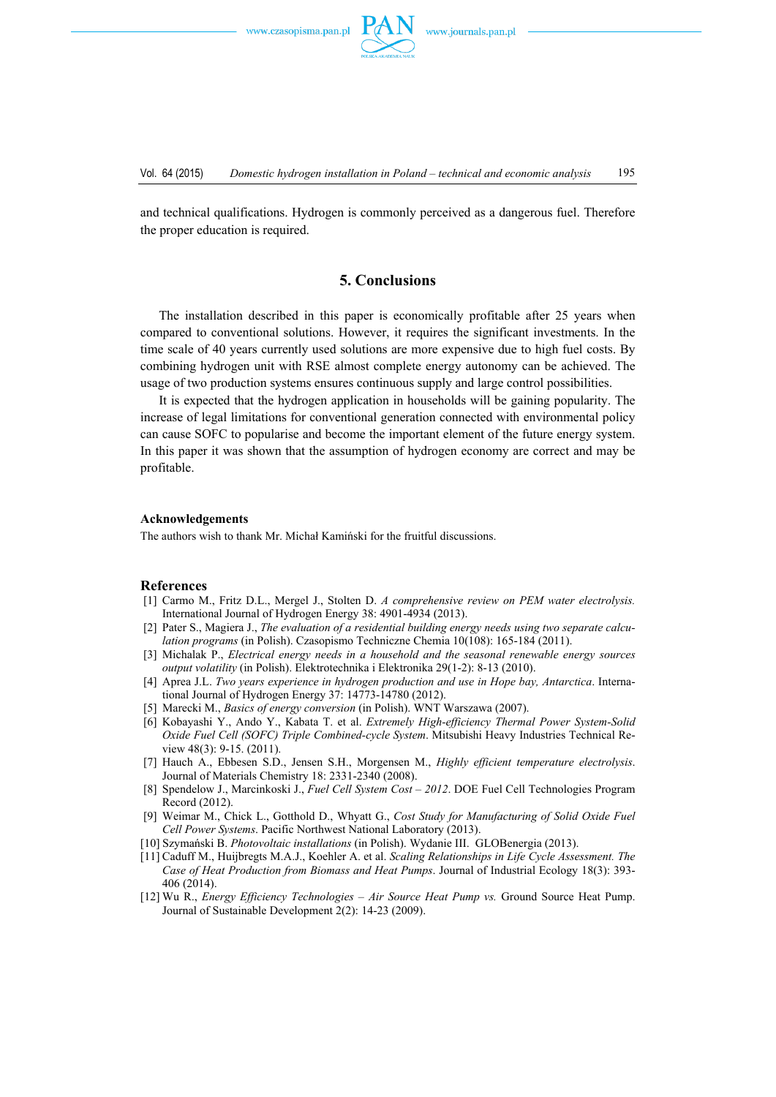and technical qualifications. Hydrogen is commonly perceived as a dangerous fuel. Therefore the proper education is required.

# **5. Conclusions**

 The installation described in this paper is economically profitable after 25 years when compared to conventional solutions. However, it requires the significant investments. In the time scale of 40 years currently used solutions are more expensive due to high fuel costs. By combining hydrogen unit with RSE almost complete energy autonomy can be achieved. The usage of two production systems ensures continuous supply and large control possibilities.

 It is expected that the hydrogen application in households will be gaining popularity. The increase of legal limitations for conventional generation connected with environmental policy can cause SOFC to popularise and become the important element of the future energy system. In this paper it was shown that the assumption of hydrogen economy are correct and may be profitable.

### **Acknowledgements**

The authors wish to thank Mr. Michał Kamiński for the fruitful discussions.

### **References**

- [1] Carmo M., Fritz D.L., Mergel J., Stolten D. *A comprehensive review on PEM water electrolysis.* International Journal of Hydrogen Energy 38: 4901-4934 (2013).
- [2] Pater S., Magiera J., *The evaluation of a residential building energy needs using two separate calculation programs* (in Polish). Czasopismo Techniczne Chemia 10(108): 165-184 (2011).
- [3] Michalak P., *Electrical energy needs in a household and the seasonal renewable energy sources output volatility* (in Polish). Elektrotechnika i Elektronika 29(1-2): 8-13 (2010).
- [4] Aprea J.L. *Two years experience in hydrogen production and use in Hope bay, Antarctica*. International Journal of Hydrogen Energy 37: 14773-14780 (2012).
- [5] Marecki M., *Basics of energy conversion* (in Polish). WNT Warszawa (2007).
- [6] Kobayashi Y., Ando Y., Kabata T. et al. *Extremely High-efficiency Thermal Power System-Solid Oxide Fuel Cell (SOFC) Triple Combined-cycle System*. Mitsubishi Heavy Industries Technical Review 48(3): 9-15. (2011).
- [7] Hauch A., Ebbesen S.D., Jensen S.H., Morgensen M., *Highly efficient temperature electrolysis*. Journal of Materials Chemistry 18: 2331-2340 (2008).
- [8] Spendelow J., Marcinkoski J., *Fuel Cell System Cost 2012*. DOE Fuel Cell Technologies Program Record (2012).
- [9] Weimar M., Chick L., Gotthold D., Whyatt G., *Cost Study for Manufacturing of Solid Oxide Fuel Cell Power Systems*. Pacific Northwest National Laboratory (2013).
- [10] Szymański B. *Photovoltaic installations* (in Polish). Wydanie III. GLOBenergia (2013).
- [11] Caduff M., Huijbregts M.A.J., Koehler A. et al. *Scaling Relationships in Life Cycle Assessment. The Case of Heat Production from Biomass and Heat Pumps*. Journal of Industrial Ecology 18(3): 393- 406 (2014).
- [12] Wu R., *Energy Efficiency Technologies Air Source Heat Pump vs.* Ground Source Heat Pump. Journal of Sustainable Development 2(2): 14-23 (2009).